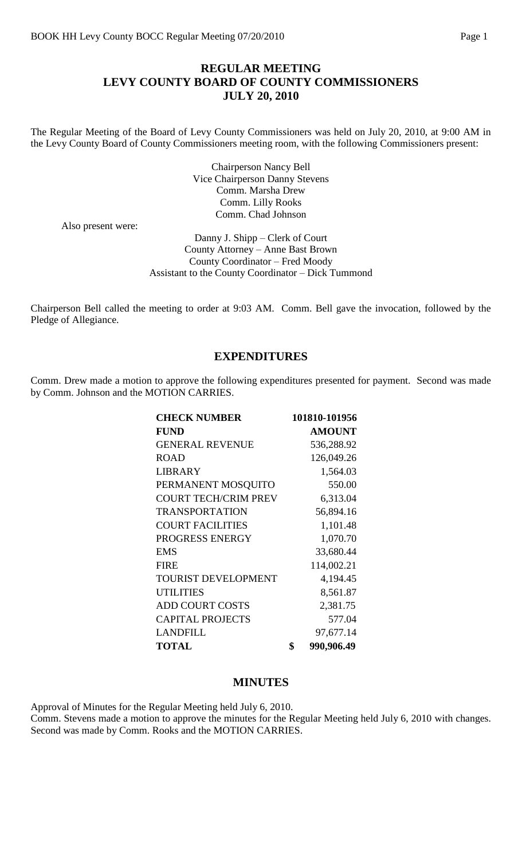### **REGULAR MEETING LEVY COUNTY BOARD OF COUNTY COMMISSIONERS JULY 20, 2010**

The Regular Meeting of the Board of Levy County Commissioners was held on July 20, 2010, at 9:00 AM in the Levy County Board of County Commissioners meeting room, with the following Commissioners present:

> Chairperson Nancy Bell Vice Chairperson Danny Stevens Comm. Marsha Drew Comm. Lilly Rooks Comm. Chad Johnson

Also present were:

Danny J. Shipp – Clerk of Court County Attorney – Anne Bast Brown County Coordinator – Fred Moody Assistant to the County Coordinator – Dick Tummond

Chairperson Bell called the meeting to order at 9:03 AM. Comm. Bell gave the invocation, followed by the Pledge of Allegiance.

#### **EXPENDITURES**

Comm. Drew made a motion to approve the following expenditures presented for payment. Second was made by Comm. Johnson and the MOTION CARRIES.

| <b>CHECK NUMBER</b>         | 101810-101956    |
|-----------------------------|------------------|
| <b>FUND</b>                 | <b>AMOUNT</b>    |
| <b>GENERAL REVENUE</b>      | 536,288.92       |
| <b>ROAD</b>                 | 126,049.26       |
| <b>LIBRARY</b>              | 1,564.03         |
| PERMANENT MOSQUITO          | 550.00           |
| <b>COURT TECH/CRIM PREV</b> | 6,313.04         |
| <b>TRANSPORTATION</b>       | 56,894.16        |
| <b>COURT FACILITIES</b>     | 1,101.48         |
| PROGRESS ENERGY             | 1,070.70         |
| <b>EMS</b>                  | 33,680.44        |
| <b>FIRE</b>                 | 114,002.21       |
| <b>TOURIST DEVELOPMENT</b>  | 4,194.45         |
| <b>UTILITIES</b>            | 8,561.87         |
| <b>ADD COURT COSTS</b>      | 2,381.75         |
| <b>CAPITAL PROJECTS</b>     | 577.04           |
| <b>LANDFILL</b>             | 97,677.14        |
| <b>TOTAL</b>                | \$<br>990,906.49 |

### **MINUTES**

Approval of Minutes for the Regular Meeting held July 6, 2010. Comm. Stevens made a motion to approve the minutes for the Regular Meeting held July 6, 2010 with changes. Second was made by Comm. Rooks and the MOTION CARRIES.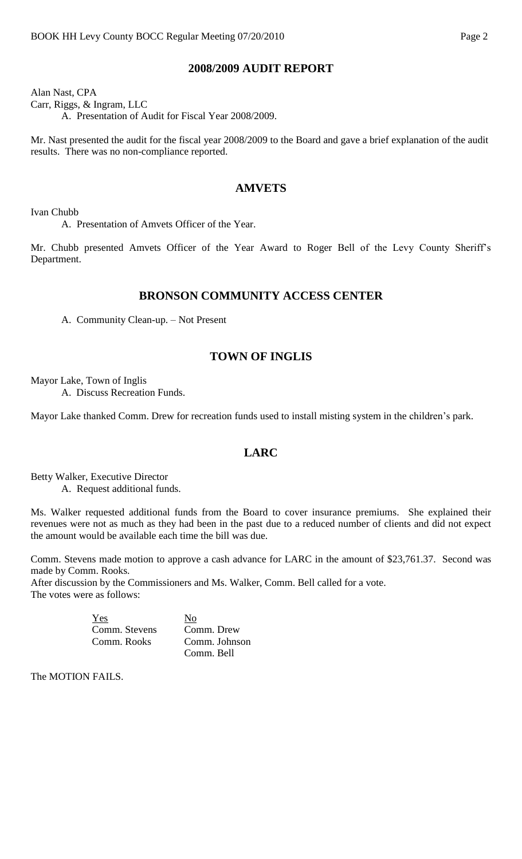#### **2008/2009 AUDIT REPORT**

Alan Nast, CPA Carr, Riggs, & Ingram, LLC A. Presentation of Audit for Fiscal Year 2008/2009.

Mr. Nast presented the audit for the fiscal year 2008/2009 to the Board and gave a brief explanation of the audit results. There was no non-compliance reported.

### **AMVETS**

Ivan Chubb

A. Presentation of Amvets Officer of the Year.

Mr. Chubb presented Amvets Officer of the Year Award to Roger Bell of the Levy County Sheriff's Department.

#### **BRONSON COMMUNITY ACCESS CENTER**

A. Community Clean-up. – Not Present

## **TOWN OF INGLIS**

Mayor Lake, Town of Inglis

A. Discuss Recreation Funds.

Mayor Lake thanked Comm. Drew for recreation funds used to install misting system in the children's park.

#### **LARC**

Betty Walker, Executive Director A. Request additional funds.

Ms. Walker requested additional funds from the Board to cover insurance premiums. She explained their revenues were not as much as they had been in the past due to a reduced number of clients and did not expect the amount would be available each time the bill was due.

Comm. Stevens made motion to approve a cash advance for LARC in the amount of \$23,761.37. Second was made by Comm. Rooks.

After discussion by the Commissioners and Ms. Walker, Comm. Bell called for a vote. The votes were as follows:

| Yes           | No            |
|---------------|---------------|
| Comm. Stevens | Comm. Drew    |
| Comm. Rooks   | Comm. Johnson |
|               | Comm. Bell    |

The MOTION FAILS.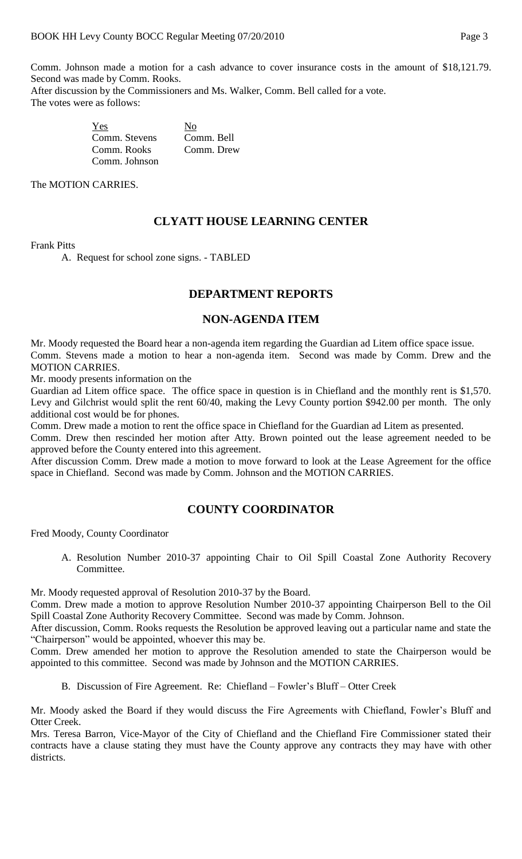Comm. Johnson made a motion for a cash advance to cover insurance costs in the amount of \$18,121.79. Second was made by Comm. Rooks.

After discussion by the Commissioners and Ms. Walker, Comm. Bell called for a vote. The votes were as follows:

| Yes           | No         |
|---------------|------------|
| Comm. Stevens | Comm. Bell |
| Comm. Rooks   | Comm. Drew |
| Comm. Johnson |            |

The MOTION CARRIES.

# **CLYATT HOUSE LEARNING CENTER**

#### Frank Pitts

A. Request for school zone signs. - TABLED

### **DEPARTMENT REPORTS**

#### **NON-AGENDA ITEM**

Mr. Moody requested the Board hear a non-agenda item regarding the Guardian ad Litem office space issue. Comm. Stevens made a motion to hear a non-agenda item. Second was made by Comm. Drew and the MOTION CARRIES.

Mr. moody presents information on the

Guardian ad Litem office space. The office space in question is in Chiefland and the monthly rent is \$1,570. Levy and Gilchrist would split the rent 60/40, making the Levy County portion \$942.00 per month. The only additional cost would be for phones.

Comm. Drew made a motion to rent the office space in Chiefland for the Guardian ad Litem as presented.

Comm. Drew then rescinded her motion after Atty. Brown pointed out the lease agreement needed to be approved before the County entered into this agreement.

After discussion Comm. Drew made a motion to move forward to look at the Lease Agreement for the office space in Chiefland. Second was made by Comm. Johnson and the MOTION CARRIES.

### **COUNTY COORDINATOR**

Fred Moody, County Coordinator

A. Resolution Number 2010-37 appointing Chair to Oil Spill Coastal Zone Authority Recovery Committee.

Mr. Moody requested approval of Resolution 2010-37 by the Board.

Comm. Drew made a motion to approve Resolution Number 2010-37 appointing Chairperson Bell to the Oil Spill Coastal Zone Authority Recovery Committee. Second was made by Comm. Johnson.

After discussion, Comm. Rooks requests the Resolution be approved leaving out a particular name and state the "Chairperson" would be appointed, whoever this may be.

Comm. Drew amended her motion to approve the Resolution amended to state the Chairperson would be appointed to this committee. Second was made by Johnson and the MOTION CARRIES.

B. Discussion of Fire Agreement. Re: Chiefland – Fowler's Bluff – Otter Creek

Mr. Moody asked the Board if they would discuss the Fire Agreements with Chiefland, Fowler's Bluff and Otter Creek.

Mrs. Teresa Barron, Vice-Mayor of the City of Chiefland and the Chiefland Fire Commissioner stated their contracts have a clause stating they must have the County approve any contracts they may have with other districts.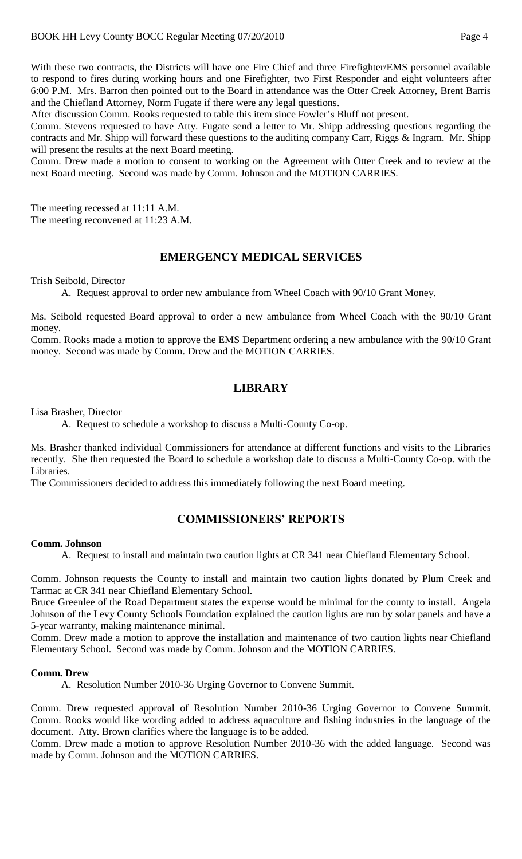With these two contracts, the Districts will have one Fire Chief and three Firefighter/EMS personnel available to respond to fires during working hours and one Firefighter, two First Responder and eight volunteers after 6:00 P.M. Mrs. Barron then pointed out to the Board in attendance was the Otter Creek Attorney, Brent Barris and the Chiefland Attorney, Norm Fugate if there were any legal questions.

After discussion Comm. Rooks requested to table this item since Fowler's Bluff not present.

Comm. Stevens requested to have Atty. Fugate send a letter to Mr. Shipp addressing questions regarding the contracts and Mr. Shipp will forward these questions to the auditing company Carr, Riggs & Ingram. Mr. Shipp will present the results at the next Board meeting.

Comm. Drew made a motion to consent to working on the Agreement with Otter Creek and to review at the next Board meeting. Second was made by Comm. Johnson and the MOTION CARRIES.

The meeting recessed at 11:11 A.M. The meeting reconvened at 11:23 A.M.

#### **EMERGENCY MEDICAL SERVICES**

Trish Seibold, Director

A. Request approval to order new ambulance from Wheel Coach with 90/10 Grant Money.

Ms. Seibold requested Board approval to order a new ambulance from Wheel Coach with the 90/10 Grant money.

Comm. Rooks made a motion to approve the EMS Department ordering a new ambulance with the 90/10 Grant money. Second was made by Comm. Drew and the MOTION CARRIES.

### **LIBRARY**

Lisa Brasher, Director

A. Request to schedule a workshop to discuss a Multi-County Co-op.

Ms. Brasher thanked individual Commissioners for attendance at different functions and visits to the Libraries recently. She then requested the Board to schedule a workshop date to discuss a Multi-County Co-op. with the Libraries.

The Commissioners decided to address this immediately following the next Board meeting.

### **COMMISSIONERS' REPORTS**

#### **Comm. Johnson**

A. Request to install and maintain two caution lights at CR 341 near Chiefland Elementary School.

Comm. Johnson requests the County to install and maintain two caution lights donated by Plum Creek and Tarmac at CR 341 near Chiefland Elementary School.

Bruce Greenlee of the Road Department states the expense would be minimal for the county to install. Angela Johnson of the Levy County Schools Foundation explained the caution lights are run by solar panels and have a 5-year warranty, making maintenance minimal.

Comm. Drew made a motion to approve the installation and maintenance of two caution lights near Chiefland Elementary School. Second was made by Comm. Johnson and the MOTION CARRIES.

#### **Comm. Drew**

A. Resolution Number 2010-36 Urging Governor to Convene Summit.

Comm. Drew requested approval of Resolution Number 2010-36 Urging Governor to Convene Summit. Comm. Rooks would like wording added to address aquaculture and fishing industries in the language of the document. Atty. Brown clarifies where the language is to be added.

Comm. Drew made a motion to approve Resolution Number 2010-36 with the added language. Second was made by Comm. Johnson and the MOTION CARRIES.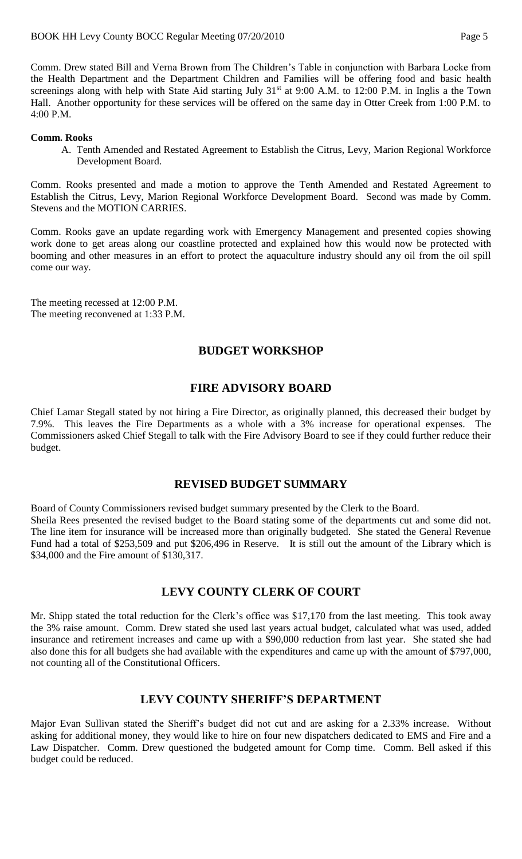Comm. Drew stated Bill and Verna Brown from The Children's Table in conjunction with Barbara Locke from the Health Department and the Department Children and Families will be offering food and basic health screenings along with help with State Aid starting July 31<sup>st</sup> at 9:00 A.M. to 12:00 P.M. in Inglis a the Town Hall. Another opportunity for these services will be offered on the same day in Otter Creek from 1:00 P.M. to 4:00 P.M.

#### **Comm. Rooks**

A. Tenth Amended and Restated Agreement to Establish the Citrus, Levy, Marion Regional Workforce Development Board.

Comm. Rooks presented and made a motion to approve the Tenth Amended and Restated Agreement to Establish the Citrus, Levy, Marion Regional Workforce Development Board. Second was made by Comm. Stevens and the MOTION CARRIES.

Comm. Rooks gave an update regarding work with Emergency Management and presented copies showing work done to get areas along our coastline protected and explained how this would now be protected with booming and other measures in an effort to protect the aquaculture industry should any oil from the oil spill come our way.

The meeting recessed at 12:00 P.M. The meeting reconvened at 1:33 P.M.

### **BUDGET WORKSHOP**

### **FIRE ADVISORY BOARD**

Chief Lamar Stegall stated by not hiring a Fire Director, as originally planned, this decreased their budget by 7.9%. This leaves the Fire Departments as a whole with a 3% increase for operational expenses. The Commissioners asked Chief Stegall to talk with the Fire Advisory Board to see if they could further reduce their budget.

### **REVISED BUDGET SUMMARY**

Board of County Commissioners revised budget summary presented by the Clerk to the Board.

Sheila Rees presented the revised budget to the Board stating some of the departments cut and some did not. The line item for insurance will be increased more than originally budgeted. She stated the General Revenue Fund had a total of \$253,509 and put \$206,496 in Reserve. It is still out the amount of the Library which is \$34,000 and the Fire amount of \$130,317.

### **LEVY COUNTY CLERK OF COURT**

Mr. Shipp stated the total reduction for the Clerk's office was \$17,170 from the last meeting. This took away the 3% raise amount. Comm. Drew stated she used last years actual budget, calculated what was used, added insurance and retirement increases and came up with a \$90,000 reduction from last year. She stated she had also done this for all budgets she had available with the expenditures and came up with the amount of \$797,000, not counting all of the Constitutional Officers.

### **LEVY COUNTY SHERIFF'S DEPARTMENT**

Major Evan Sullivan stated the Sheriff's budget did not cut and are asking for a 2.33% increase. Without asking for additional money, they would like to hire on four new dispatchers dedicated to EMS and Fire and a Law Dispatcher. Comm. Drew questioned the budgeted amount for Comp time. Comm. Bell asked if this budget could be reduced.